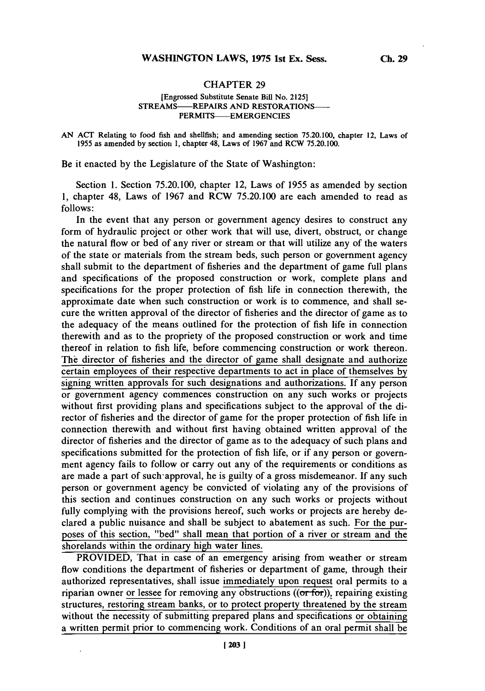## **CHAPTER 29**

## [Engrossed Substitute Senate Bill No. **2125]** STREAMS-REPAIRS **AND** RESTORATIONS-**PERMITS-EMERGENCIES**

**AN ACT** Relating to food fish and shellfish; and amending section 75.20.100, chapter 12, Laws of **1955** as amended **by** section **1,** chapter 48, Laws of **1967** and RCW **75.20.100.**

Be it enacted **by** the Legislature of the State of Washington:

Section **1.** Section **75.20.100,** chapter 12, Laws of **1955** as amended **by** section **1,** chapter 48, Laws of **1967** and RCW **75.20.100** are each amended to read as **follows:**

In the event that any person or government agency desires to construct any form of hydraulic project or other work that will use, divert, obstruct, or change the natural flow or bed of any river or stream or that will utilize any of the waters of the state or materials from the stream beds, such person or government agency shall submit to the department of fisheries and the department of game full plans and specifications of the proposed construction or work, complete plans and specifications for the proper protection of fish life in connection therewith, the approximate date when such construction or work is to commence, and shall secure the written approval of the director of fisheries and the director of game as to the adequacy of the means outlined for the protection of fish life in connection therewith and as to the propriety of the proposed construction or work and time thereof in relation to fish life, before commencing construction or work thereon. The director of fisheries and the director of game shall designate and authorize certain employees of their respective departments to act in place of themselves **by** signing written approvals for such designations and authorizations. **If** any person or government agency commences construction on any such works or projects without first providing plans and specifications subject to the approval of the director of fisheries and the director of game for the proper protection of fish life in connection therewith and without first having obtained written approval of the director of fisheries and the director of game as to the adequacy of such plans and specifications submitted for the protection of fish life, or if any person or government agency fails to follow or carry out any of the requirements or conditions as are made a part of such-approval, he is guilty of a gross misdemeanor. **If** any such person or government agency be convicted of violating any of the provisions of this section and continues construction on any such works or projects without fully complying with the provisions hereof, such works or projects are hereby declared a public nuisance and shall be subject to abatement as such. For the purposes of this section, "bed" shall mean that portion of a river or stream and the shorelands within the ordinary high water lines.

PROVIDED, That in case of an emergency arising from weather or stream flow conditions the department of fisheries or department of game, through their authorized representatives, shall issue immediately upon request oral permits to a riparian owner or lessee for removing any obstructions  $((\sigma \bar{f} \sigma r))$ , repairing existing structures, restoring stream banks, or to protect property threatened **by** the stream without the necessity of submitting prepared plans and specifications or obtaining a written permit prior to commencing work. Conditions of an oral permit shall be